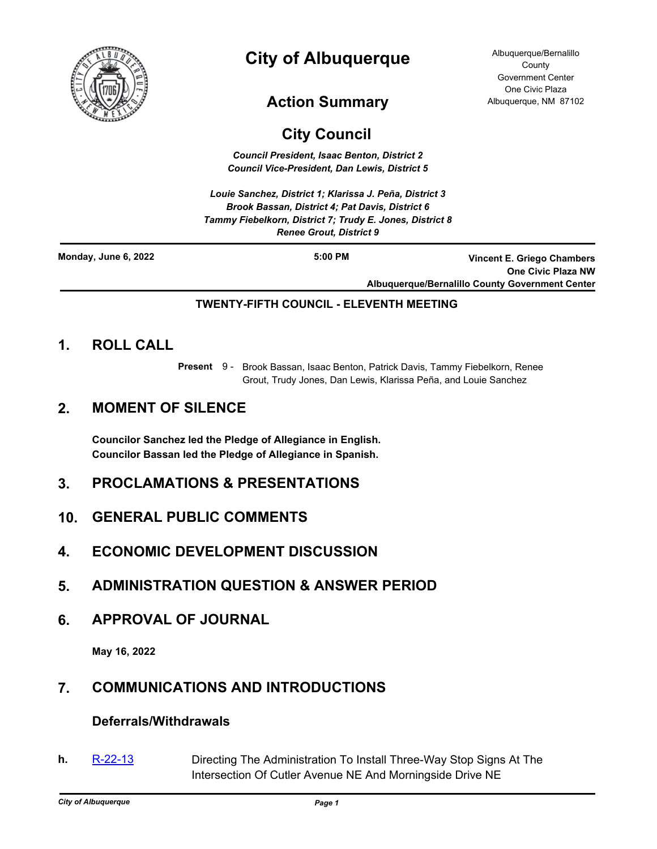

# **City of Albuquerque**

# **Action Summary**

#### Albuquerque/Bernalillo **County** Government Center One Civic Plaza Albuquerque, NM 87102

# **City Council**

*Council President, Isaac Benton, District 2 Council Vice-President, Dan Lewis, District 5*

*Louie Sanchez, District 1; Klarissa J. Peña, District 3 Brook Bassan, District 4; Pat Davis, District 6 Tammy Fiebelkorn, District 7; Trudy E. Jones, District 8 Renee Grout, District 9*

| Monday, June 6, 2022 | $5:00$ PM | Vincent E. Griego Chambers                             |
|----------------------|-----------|--------------------------------------------------------|
|                      |           | <b>One Civic Plaza NW</b>                              |
|                      |           | <b>Albuquerque/Bernalillo County Government Center</b> |

## **TWENTY-FIFTH COUNCIL - ELEVENTH MEETING**

# **1. ROLL CALL**

Present 9 - Brook Bassan, Isaac Benton, Patrick Davis, Tammy Fiebelkorn, Renee Grout, Trudy Jones, Dan Lewis, Klarissa Peña, and Louie Sanchez

# **2. MOMENT OF SILENCE**

**Councilor Sanchez led the Pledge of Allegiance in English. Councilor Bassan led the Pledge of Allegiance in Spanish.**

# **3. PROCLAMATIONS & PRESENTATIONS**

- **10. GENERAL PUBLIC COMMENTS**
- **4. ECONOMIC DEVELOPMENT DISCUSSION**
- **5. ADMINISTRATION QUESTION & ANSWER PERIOD**
- **6. APPROVAL OF JOURNAL**

**May 16, 2022**

# **7. COMMUNICATIONS AND INTRODUCTIONS**

## **Deferrals/Withdrawals**

**h.** [R-22-13](http://cabq.legistar.com/gateway.aspx?m=l&id=/matter.aspx?key=12858) Directing The Administration To Install Three-Way Stop Signs At The Intersection Of Cutler Avenue NE And Morningside Drive NE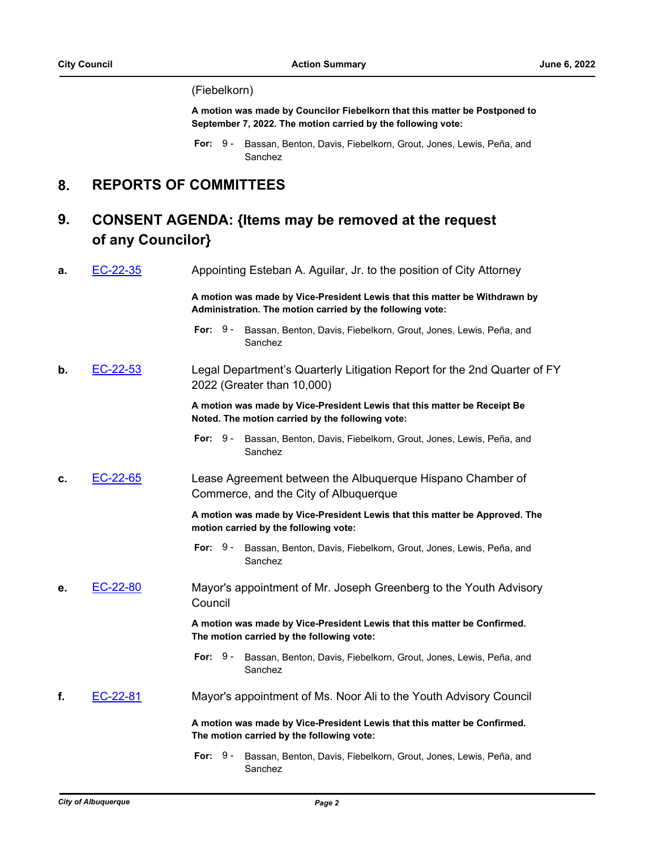#### (Fiebelkorn)

**A motion was made by Councilor Fiebelkorn that this matter be Postponed to September 7, 2022. The motion carried by the following vote:**

# **8. REPORTS OF COMMITTEES**

#### **CONSENT AGENDA: {Items may be removed at the request of any Councilor} 9.**

| EC-22-35<br>а. |          | Appointing Esteban A. Aguilar, Jr. to the position of City Attorney                                                                     |
|----------------|----------|-----------------------------------------------------------------------------------------------------------------------------------------|
|                |          | A motion was made by Vice-President Lewis that this matter be Withdrawn by<br>Administration. The motion carried by the following vote: |
|                |          | For: $9-$<br>Bassan, Benton, Davis, Fiebelkorn, Grout, Jones, Lewis, Peña, and<br>Sanchez                                               |
| b.             | EC-22-53 | Legal Department's Quarterly Litigation Report for the 2nd Quarter of FY<br>2022 (Greater than 10,000)                                  |
|                |          | A motion was made by Vice-President Lewis that this matter be Receipt Be<br>Noted. The motion carried by the following vote:            |
|                |          | For: $9-$<br>Bassan, Benton, Davis, Fiebelkorn, Grout, Jones, Lewis, Peña, and<br>Sanchez                                               |
| c.             | EC-22-65 | Lease Agreement between the Albuquerque Hispano Chamber of<br>Commerce, and the City of Albuquerque                                     |
|                |          | A motion was made by Vice-President Lewis that this matter be Approved. The<br>motion carried by the following vote:                    |
|                |          | For: $9-$<br>Bassan, Benton, Davis, Fiebelkorn, Grout, Jones, Lewis, Peña, and<br>Sanchez                                               |
| е.             | EC-22-80 | Mayor's appointment of Mr. Joseph Greenberg to the Youth Advisory<br>Council                                                            |
|                |          | A motion was made by Vice-President Lewis that this matter be Confirmed.<br>The motion carried by the following vote:                   |
|                |          | For: $9-$<br>Bassan, Benton, Davis, Fiebelkorn, Grout, Jones, Lewis, Peña, and<br>Sanchez                                               |
| f.             | EC-22-81 | Mayor's appointment of Ms. Noor Ali to the Youth Advisory Council                                                                       |
|                |          | A motion was made by Vice-President Lewis that this matter be Confirmed.<br>The motion carried by the following vote:                   |
|                |          | For: $9-$<br>Bassan, Benton, Davis, Fiebelkorn, Grout, Jones, Lewis, Peña, and                                                          |

Sanchez

For: 9 - Bassan, Benton, Davis, Fiebelkorn, Grout, Jones, Lewis, Peña, and Sanchez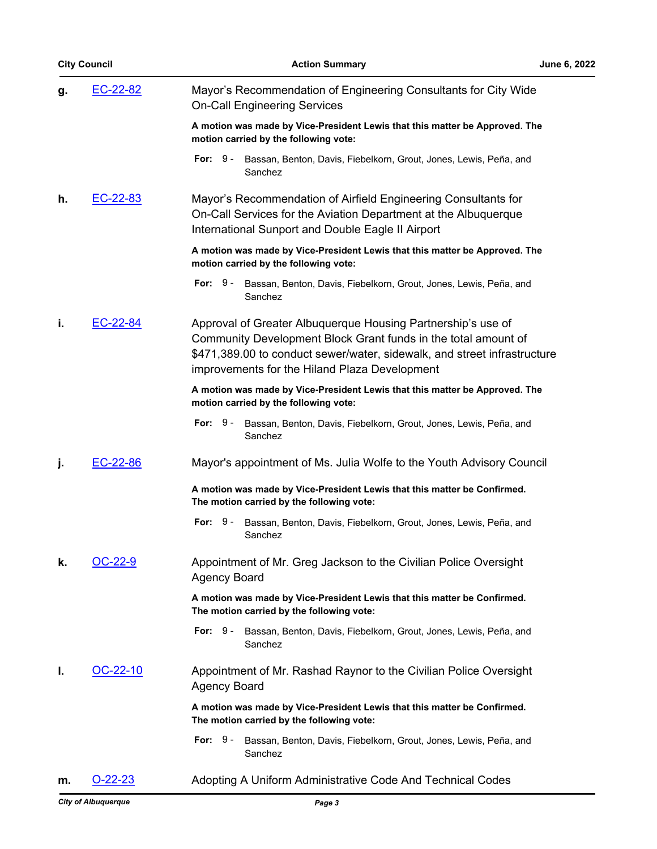|    | <b>City Council</b> | <b>Action Summary</b><br>June 6, 2022                                                                                                                                                                                                                       |
|----|---------------------|-------------------------------------------------------------------------------------------------------------------------------------------------------------------------------------------------------------------------------------------------------------|
| g. | EC-22-82            | Mayor's Recommendation of Engineering Consultants for City Wide<br><b>On-Call Engineering Services</b>                                                                                                                                                      |
|    |                     | A motion was made by Vice-President Lewis that this matter be Approved. The<br>motion carried by the following vote:                                                                                                                                        |
|    |                     | For: $9-$<br>Bassan, Benton, Davis, Fiebelkorn, Grout, Jones, Lewis, Peña, and<br>Sanchez                                                                                                                                                                   |
| h. | EC-22-83            | Mayor's Recommendation of Airfield Engineering Consultants for<br>On-Call Services for the Aviation Department at the Albuquerque<br>International Sunport and Double Eagle II Airport                                                                      |
|    |                     | A motion was made by Vice-President Lewis that this matter be Approved. The<br>motion carried by the following vote:                                                                                                                                        |
|    |                     | For: $9-$<br>Bassan, Benton, Davis, Fiebelkorn, Grout, Jones, Lewis, Peña, and<br>Sanchez                                                                                                                                                                   |
| i. | EC-22-84            | Approval of Greater Albuquerque Housing Partnership's use of<br>Community Development Block Grant funds in the total amount of<br>\$471,389.00 to conduct sewer/water, sidewalk, and street infrastructure<br>improvements for the Hiland Plaza Development |
|    |                     | A motion was made by Vice-President Lewis that this matter be Approved. The<br>motion carried by the following vote:                                                                                                                                        |
|    |                     | For: $9-$<br>Bassan, Benton, Davis, Fiebelkorn, Grout, Jones, Lewis, Peña, and<br>Sanchez                                                                                                                                                                   |
| j. | EC-22-86            | Mayor's appointment of Ms. Julia Wolfe to the Youth Advisory Council                                                                                                                                                                                        |
|    |                     | A motion was made by Vice-President Lewis that this matter be Confirmed.<br>The motion carried by the following vote:                                                                                                                                       |
|    |                     | For: $9-$<br>Bassan, Benton, Davis, Fiebelkorn, Grout, Jones, Lewis, Peña, and<br>Sanchez                                                                                                                                                                   |
| k. | $OC-22-9$           | Appointment of Mr. Greg Jackson to the Civilian Police Oversight<br><b>Agency Board</b>                                                                                                                                                                     |
|    |                     | A motion was made by Vice-President Lewis that this matter be Confirmed.<br>The motion carried by the following vote:                                                                                                                                       |
|    |                     | For: $9-$<br>Bassan, Benton, Davis, Fiebelkorn, Grout, Jones, Lewis, Peña, and<br>Sanchez                                                                                                                                                                   |
| L. | OC-22-10            | Appointment of Mr. Rashad Raynor to the Civilian Police Oversight<br><b>Agency Board</b>                                                                                                                                                                    |
|    |                     | A motion was made by Vice-President Lewis that this matter be Confirmed.<br>The motion carried by the following vote:                                                                                                                                       |
|    |                     | For: $9-$<br>Bassan, Benton, Davis, Fiebelkorn, Grout, Jones, Lewis, Peña, and<br>Sanchez                                                                                                                                                                   |
| m. | $O-22-23$           | Adopting A Uniform Administrative Code And Technical Codes                                                                                                                                                                                                  |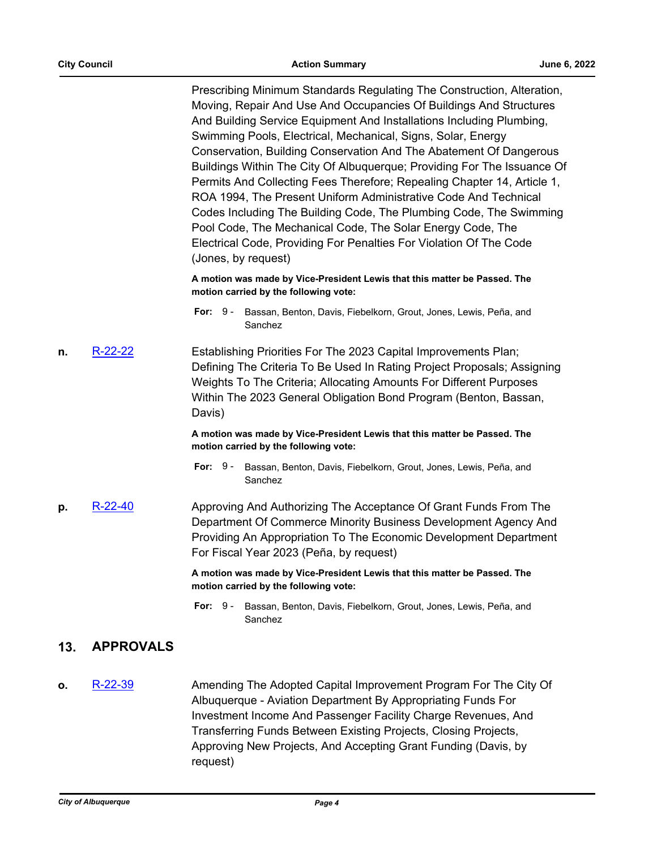Prescribing Minimum Standards Regulating The Construction, Alteration, Moving, Repair And Use And Occupancies Of Buildings And Structures And Building Service Equipment And Installations Including Plumbing, Swimming Pools, Electrical, Mechanical, Signs, Solar, Energy Conservation, Building Conservation And The Abatement Of Dangerous Buildings Within The City Of Albuquerque; Providing For The Issuance Of Permits And Collecting Fees Therefore; Repealing Chapter 14, Article 1, ROA 1994, The Present Uniform Administrative Code And Technical Codes Including The Building Code, The Plumbing Code, The Swimming Pool Code, The Mechanical Code, The Solar Energy Code, The Electrical Code, Providing For Penalties For Violation Of The Code (Jones, by request)

**A motion was made by Vice-President Lewis that this matter be Passed. The motion carried by the following vote:**

- For: 9 Bassan, Benton, Davis, Fiebelkorn, Grout, Jones, Lewis, Peña, and Sanchez
- **n.** [R-22-22](http://cabq.legistar.com/gateway.aspx?m=l&id=/matter.aspx?key=12876) **Establishing Priorities For The 2023 Capital Improvements Plan;** Defining The Criteria To Be Used In Rating Project Proposals; Assigning Weights To The Criteria; Allocating Amounts For Different Purposes Within The 2023 General Obligation Bond Program (Benton, Bassan, Davis)

**A motion was made by Vice-President Lewis that this matter be Passed. The motion carried by the following vote:**

- For: 9 Bassan, Benton, Davis, Fiebelkorn, Grout, Jones, Lewis, Peña, and Sanchez
- **p.** [R-22-40](http://cabq.legistar.com/gateway.aspx?m=l&id=/matter.aspx?key=12939) Approving And Authorizing The Acceptance Of Grant Funds From The Department Of Commerce Minority Business Development Agency And Providing An Appropriation To The Economic Development Department For Fiscal Year 2023 (Peña, by request)

**A motion was made by Vice-President Lewis that this matter be Passed. The motion carried by the following vote:**

For: 9 - Bassan, Benton, Davis, Fiebelkorn, Grout, Jones, Lewis, Peña, and Sanchez

## **13. APPROVALS**

**o.** [R-22-39](http://cabq.legistar.com/gateway.aspx?m=l&id=/matter.aspx?key=12938) Amending The Adopted Capital Improvement Program For The City Of Albuquerque - Aviation Department By Appropriating Funds For Investment Income And Passenger Facility Charge Revenues, And Transferring Funds Between Existing Projects, Closing Projects, Approving New Projects, And Accepting Grant Funding (Davis, by request)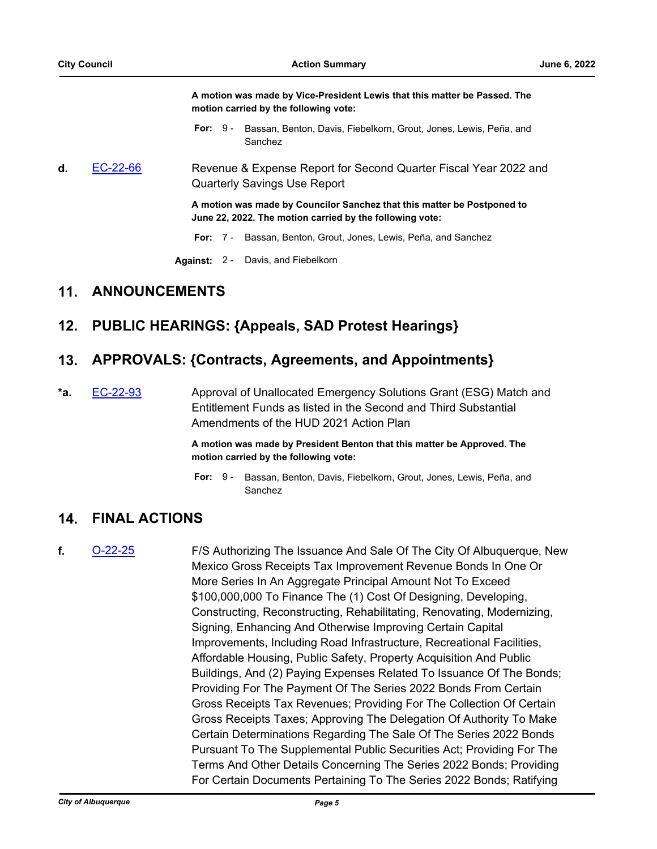**A motion was made by Vice-President Lewis that this matter be Passed. The motion carried by the following vote:**

- For: 9 Bassan, Benton, Davis, Fiebelkorn, Grout, Jones, Lewis, Peña, and Sanchez
- **d.** [EC-22-66](http://cabq.legistar.com/gateway.aspx?m=l&id=/matter.aspx?key=12893) Revenue & Expense Report for Second Quarter Fiscal Year 2022 and Quarterly Savings Use Report

**A motion was made by Councilor Sanchez that this matter be Postponed to June 22, 2022. The motion carried by the following vote:**

**For:** 7 - Bassan, Benton, Grout, Jones, Lewis, Peña, and Sanchez

**Against:** 2 - Davis, and Fiebelkorn

## **11. ANNOUNCEMENTS**

# **12. PUBLIC HEARINGS: {Appeals, SAD Protest Hearings}**

## **13. APPROVALS: {Contracts, Agreements, and Appointments}**

**\*a.** [EC-22-93](http://cabq.legistar.com/gateway.aspx?m=l&id=/matter.aspx?key=12960) Approval of Unallocated Emergency Solutions Grant (ESG) Match and Entitlement Funds as listed in the Second and Third Substantial Amendments of the HUD 2021 Action Plan

> **A motion was made by President Benton that this matter be Approved. The motion carried by the following vote:**

**For:** Bassan, Benton, Davis, Fiebelkorn, Grout, Jones, Lewis, Peña, and **Sanchez** For:  $9 -$ 

## **14. FINAL ACTIONS**

**f.** [O-22-25](http://cabq.legistar.com/gateway.aspx?m=l&id=/matter.aspx?key=12921) F/S Authorizing The Issuance And Sale Of The City Of Albuquerque, New Mexico Gross Receipts Tax Improvement Revenue Bonds In One Or More Series In An Aggregate Principal Amount Not To Exceed \$100,000,000 To Finance The (1) Cost Of Designing, Developing, Constructing, Reconstructing, Rehabilitating, Renovating, Modernizing, Signing, Enhancing And Otherwise Improving Certain Capital Improvements, Including Road Infrastructure, Recreational Facilities, Affordable Housing, Public Safety, Property Acquisition And Public Buildings, And (2) Paying Expenses Related To Issuance Of The Bonds; Providing For The Payment Of The Series 2022 Bonds From Certain Gross Receipts Tax Revenues; Providing For The Collection Of Certain Gross Receipts Taxes; Approving The Delegation Of Authority To Make Certain Determinations Regarding The Sale Of The Series 2022 Bonds Pursuant To The Supplemental Public Securities Act; Providing For The Terms And Other Details Concerning The Series 2022 Bonds; Providing For Certain Documents Pertaining To The Series 2022 Bonds; Ratifying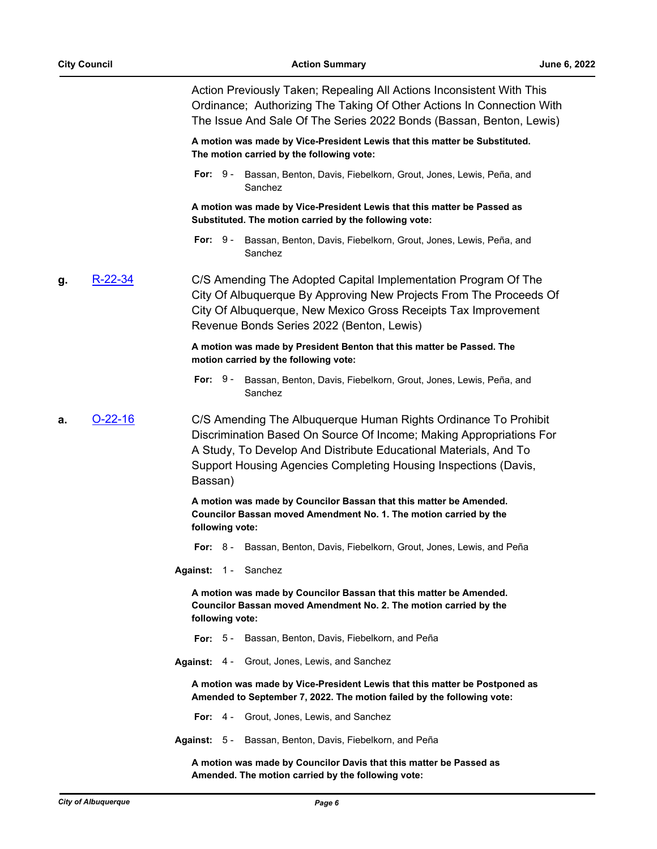Action Previously Taken; Repealing All Actions Inconsistent With This Ordinance; Authorizing The Taking Of Other Actions In Connection With The Issue And Sale Of The Series 2022 Bonds (Bassan, Benton, Lewis)

**A motion was made by Vice-President Lewis that this matter be Substituted. The motion carried by the following vote:**

For: 9 - Bassan, Benton, Davis, Fiebelkorn, Grout, Jones, Lewis, Peña, and Sanchez

**A motion was made by Vice-President Lewis that this matter be Passed as Substituted. The motion carried by the following vote:**

**For:** Bassan, Benton, Davis, Fiebelkorn, Grout, Jones, Lewis, Peña, and Sanchez For:  $9 -$ 

**g.** [R-22-34](http://cabq.legistar.com/gateway.aspx?m=l&id=/matter.aspx?key=12922) C/S Amending The Adopted Capital Implementation Program Of The City Of Albuquerque By Approving New Projects From The Proceeds Of City Of Albuquerque, New Mexico Gross Receipts Tax Improvement Revenue Bonds Series 2022 (Benton, Lewis)

#### **A motion was made by President Benton that this matter be Passed. The motion carried by the following vote:**

- For: 9 Bassan, Benton, Davis, Fiebelkorn, Grout, Jones, Lewis, Peña, and Sanchez
- **a.** [O-22-16](http://cabq.legistar.com/gateway.aspx?m=l&id=/matter.aspx?key=12859) C/S Amending The Albuquerque Human Rights Ordinance To Prohibit Discrimination Based On Source Of Income; Making Appropriations For A Study, To Develop And Distribute Educational Materials, And To Support Housing Agencies Completing Housing Inspections (Davis, Bassan)

**A motion was made by Councilor Bassan that this matter be Amended. Councilor Bassan moved Amendment No. 1. The motion carried by the following vote:**

**For:** 8 - Bassan, Benton, Davis, Fiebelkorn, Grout, Jones, Lewis, and Peña

**Against:** 1 - Sanchez

**A motion was made by Councilor Bassan that this matter be Amended. Councilor Bassan moved Amendment No. 2. The motion carried by the following vote:**

- **For:** 5 Bassan, Benton, Davis, Fiebelkorn, and Peña
- **Against:** 4 Grout, Jones, Lewis, and Sanchez

**A motion was made by Vice-President Lewis that this matter be Postponed as Amended to September 7, 2022. The motion failed by the following vote:**

- **For:** 4 Grout, Jones, Lewis, and Sanchez
- **Against:** 5 Bassan, Benton, Davis, Fiebelkorn, and Peña

**A motion was made by Councilor Davis that this matter be Passed as Amended. The motion carried by the following vote:**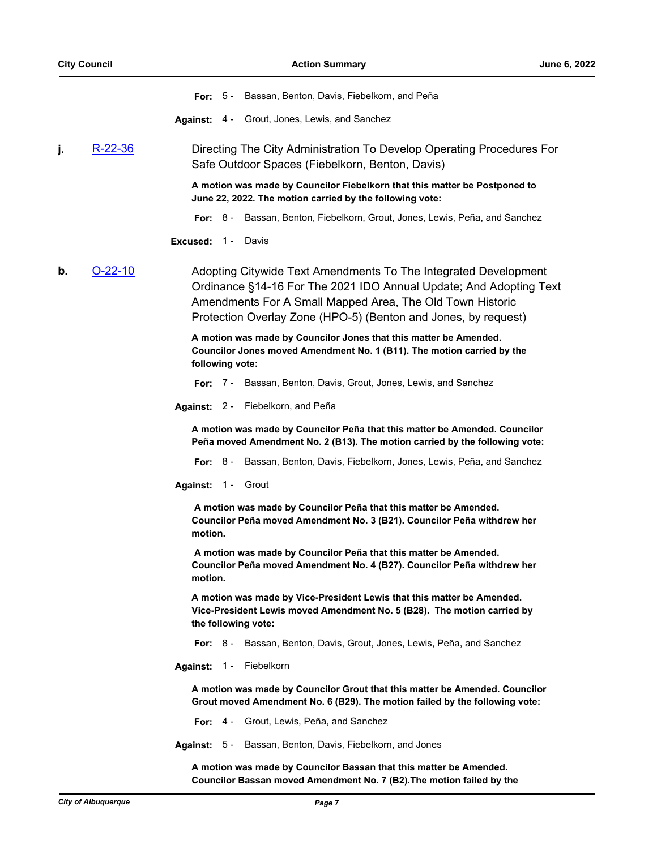**For:** 5 - Bassan, Benton, Davis, Fiebelkorn, and Peña

**Against:** 4 - Grout, Jones, Lewis, and Sanchez

#### **j.** [R-22-36](http://cabq.legistar.com/gateway.aspx?m=l&id=/matter.aspx?key=12935) Directing The City Administration To Develop Operating Procedures For Safe Outdoor Spaces (Fiebelkorn, Benton, Davis)

**A motion was made by Councilor Fiebelkorn that this matter be Postponed to June 22, 2022. The motion carried by the following vote:**

**For:** 8 - Bassan, Benton, Fiebelkorn, Grout, Jones, Lewis, Peña, and Sanchez

#### **Excused:** 1 - Davis

**b. [O-22-10](http://cabq.legistar.com/gateway.aspx?m=l&id=/matter.aspx?key=12818)** Adopting Citywide Text Amendments To The Integrated Development Ordinance §14-16 For The 2021 IDO Annual Update; And Adopting Text Amendments For A Small Mapped Area, The Old Town Historic Protection Overlay Zone (HPO-5) (Benton and Jones, by request)

> **A motion was made by Councilor Jones that this matter be Amended. Councilor Jones moved Amendment No. 1 (B11). The motion carried by the following vote:**

**For:** 7 - Bassan, Benton, Davis, Grout, Jones, Lewis, and Sanchez

**Against:** 2 - Fiebelkorn, and Peña

**A motion was made by Councilor Peña that this matter be Amended. Councilor Peña moved Amendment No. 2 (B13). The motion carried by the following vote:**

**For:** 8 - Bassan, Benton, Davis, Fiebelkorn, Jones, Lewis, Peña, and Sanchez

**Against:** 1 - Grout

 **A motion was made by Councilor Peña that this matter be Amended. Councilor Peña moved Amendment No. 3 (B21). Councilor Peña withdrew her motion.**

 **A motion was made by Councilor Peña that this matter be Amended. Councilor Peña moved Amendment No. 4 (B27). Councilor Peña withdrew her motion.**

**A motion was made by Vice-President Lewis that this matter be Amended. Vice-President Lewis moved Amendment No. 5 (B28). The motion carried by the following vote:**

**For:** 8 - Bassan, Benton, Davis, Grout, Jones, Lewis, Peña, and Sanchez

**Against:** 1 - Fiebelkorn

**A motion was made by Councilor Grout that this matter be Amended. Councilor Grout moved Amendment No. 6 (B29). The motion failed by the following vote:**

**For:** 4 - Grout, Lewis, Peña, and Sanchez

**Against:** 5 - Bassan, Benton, Davis, Fiebelkorn, and Jones

**A motion was made by Councilor Bassan that this matter be Amended. Councilor Bassan moved Amendment No. 7 (B2).The motion failed by the**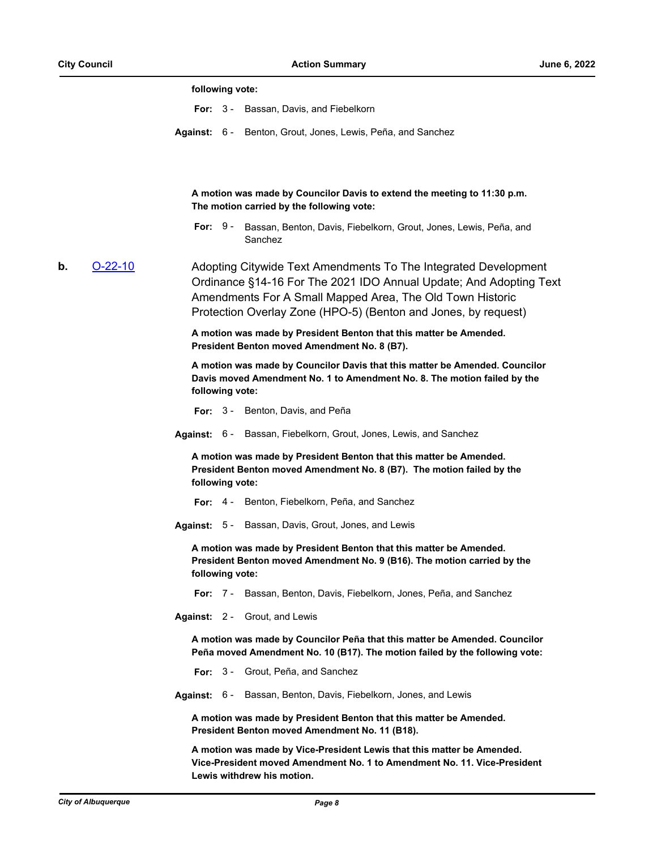#### **following vote:**

- **For:** 3 Bassan, Davis, and Fiebelkorn
- **Against:** 6 Benton, Grout, Jones, Lewis, Peña, and Sanchez

**A motion was made by Councilor Davis to extend the meeting to 11:30 p.m. The motion carried by the following vote:**

**For:** Bassan, Benton, Davis, Fiebelkorn, Grout, Jones, Lewis, Peña, and Sanchez For:  $9 -$ 

**b. [O-22-10](http://cabq.legistar.com/gateway.aspx?m=l&id=/matter.aspx?key=12818)** Adopting Citywide Text Amendments To The Integrated Development Ordinance §14-16 For The 2021 IDO Annual Update; And Adopting Text Amendments For A Small Mapped Area, The Old Town Historic Protection Overlay Zone (HPO-5) (Benton and Jones, by request)

> **A motion was made by President Benton that this matter be Amended. President Benton moved Amendment No. 8 (B7).**

**A motion was made by Councilor Davis that this matter be Amended. Councilor Davis moved Amendment No. 1 to Amendment No. 8. The motion failed by the following vote:**

**For:** 3 - Benton, Davis, and Peña

**Against:** 6 - Bassan, Fiebelkorn, Grout, Jones, Lewis, and Sanchez

**A motion was made by President Benton that this matter be Amended. President Benton moved Amendment No. 8 (B7). The motion failed by the following vote:**

**For:** 4 - Benton, Fiebelkorn, Peña, and Sanchez

**Against:** 5 - Bassan, Davis, Grout, Jones, and Lewis

**A motion was made by President Benton that this matter be Amended. President Benton moved Amendment No. 9 (B16). The motion carried by the following vote:**

**For:** 7 - Bassan, Benton, Davis, Fiebelkorn, Jones, Peña, and Sanchez

**Against:** 2 - Grout, and Lewis

**A motion was made by Councilor Peña that this matter be Amended. Councilor Peña moved Amendment No. 10 (B17). The motion failed by the following vote:**

**For:** 3 - Grout, Peña, and Sanchez

**Against:** 6 - Bassan, Benton, Davis, Fiebelkorn, Jones, and Lewis

**A motion was made by President Benton that this matter be Amended. President Benton moved Amendment No. 11 (B18).**

**A motion was made by Vice-President Lewis that this matter be Amended. Vice-President moved Amendment No. 1 to Amendment No. 11. Vice-President Lewis withdrew his motion.**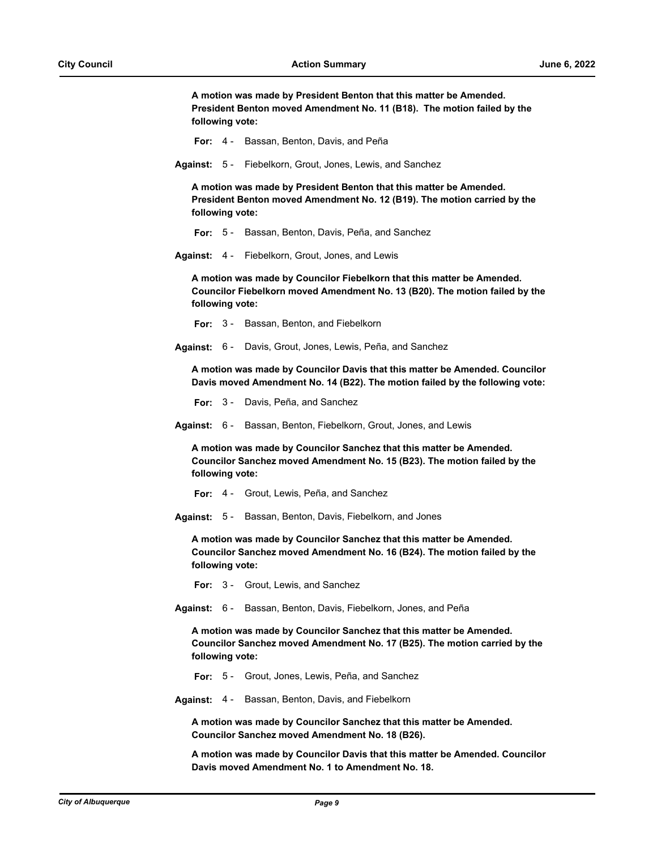**A motion was made by President Benton that this matter be Amended. President Benton moved Amendment No. 11 (B18). The motion failed by the following vote:**

- **For:** 4 Bassan, Benton, Davis, and Peña
- **Against:** 5 Fiebelkorn, Grout, Jones, Lewis, and Sanchez

**A motion was made by President Benton that this matter be Amended. President Benton moved Amendment No. 12 (B19). The motion carried by the following vote:**

- **For:** 5 Bassan, Benton, Davis, Peña, and Sanchez
- **Against:** 4 Fiebelkorn, Grout, Jones, and Lewis

**A motion was made by Councilor Fiebelkorn that this matter be Amended. Councilor Fiebelkorn moved Amendment No. 13 (B20). The motion failed by the following vote:**

- **For:** 3 Bassan, Benton, and Fiebelkorn
- **Against:** 6 Davis, Grout, Jones, Lewis, Peña, and Sanchez

**A motion was made by Councilor Davis that this matter be Amended. Councilor Davis moved Amendment No. 14 (B22). The motion failed by the following vote:**

**For:** 3 - Davis, Peña, and Sanchez

**Against:** 6 - Bassan, Benton, Fiebelkorn, Grout, Jones, and Lewis

**A motion was made by Councilor Sanchez that this matter be Amended. Councilor Sanchez moved Amendment No. 15 (B23). The motion failed by the following vote:**

- **For:** 4 Grout, Lewis, Peña, and Sanchez
- **Against:** 5 Bassan, Benton, Davis, Fiebelkorn, and Jones

**A motion was made by Councilor Sanchez that this matter be Amended. Councilor Sanchez moved Amendment No. 16 (B24). The motion failed by the following vote:**

- **For:** 3 Grout, Lewis, and Sanchez
- **Against:** 6 Bassan, Benton, Davis, Fiebelkorn, Jones, and Peña

**A motion was made by Councilor Sanchez that this matter be Amended. Councilor Sanchez moved Amendment No. 17 (B25). The motion carried by the following vote:**

- **For:** 5 Grout, Jones, Lewis, Peña, and Sanchez
- **Against:** 4 Bassan, Benton, Davis, and Fiebelkorn

**A motion was made by Councilor Sanchez that this matter be Amended. Councilor Sanchez moved Amendment No. 18 (B26).**

**A motion was made by Councilor Davis that this matter be Amended. Councilor Davis moved Amendment No. 1 to Amendment No. 18.**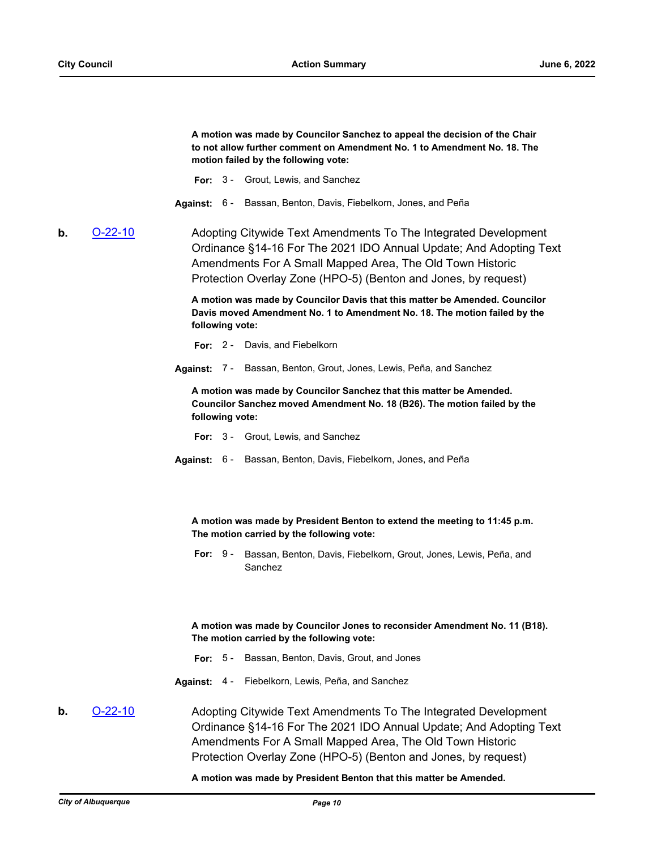**A motion was made by Councilor Sanchez to appeal the decision of the Chair to not allow further comment on Amendment No. 1 to Amendment No. 18. The motion failed by the following vote:**

- **For:** 3 Grout, Lewis, and Sanchez
- **Against:** 6 Bassan, Benton, Davis, Fiebelkorn, Jones, and Peña

**b. [O-22-10](http://cabq.legistar.com/gateway.aspx?m=l&id=/matter.aspx?key=12818)** Adopting Citywide Text Amendments To The Integrated Development Ordinance §14-16 For The 2021 IDO Annual Update; And Adopting Text Amendments For A Small Mapped Area, The Old Town Historic Protection Overlay Zone (HPO-5) (Benton and Jones, by request)

> **A motion was made by Councilor Davis that this matter be Amended. Councilor Davis moved Amendment No. 1 to Amendment No. 18. The motion failed by the following vote:**

**For:** 2 - Davis, and Fiebelkorn

**Against:** 7 - Bassan, Benton, Grout, Jones, Lewis, Peña, and Sanchez

**A motion was made by Councilor Sanchez that this matter be Amended. Councilor Sanchez moved Amendment No. 18 (B26). The motion failed by the following vote:**

- **For:** 3 Grout, Lewis, and Sanchez
- **Against:** 6 Bassan, Benton, Davis, Fiebelkorn, Jones, and Peña

**A motion was made by President Benton to extend the meeting to 11:45 p.m. The motion carried by the following vote:**

For: 9 - Bassan, Benton, Davis, Fiebelkorn, Grout, Jones, Lewis, Peña, and Sanchez

**A motion was made by Councilor Jones to reconsider Amendment No. 11 (B18). The motion carried by the following vote:**

**For:** 5 - Bassan, Benton, Davis, Grout, and Jones

**Against:** 4 - Fiebelkorn, Lewis, Peña, and Sanchez

**b. [O-22-10](http://cabq.legistar.com/gateway.aspx?m=l&id=/matter.aspx?key=12818)** Adopting Citywide Text Amendments To The Integrated Development Ordinance §14-16 For The 2021 IDO Annual Update; And Adopting Text Amendments For A Small Mapped Area, The Old Town Historic Protection Overlay Zone (HPO-5) (Benton and Jones, by request)

**A motion was made by President Benton that this matter be Amended.**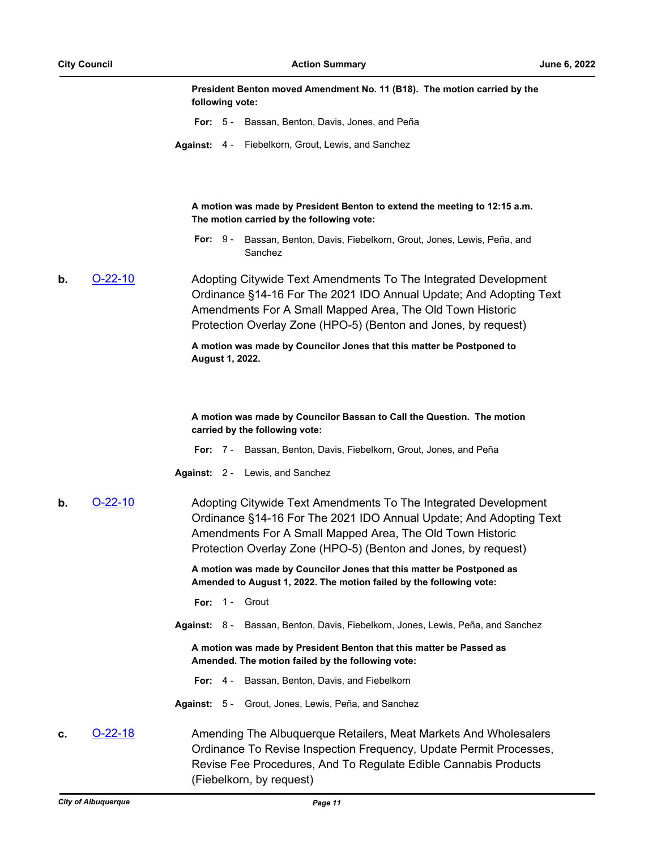| President Benton moved Amendment No. 11 (B18). The motion carried by the |  |
|--------------------------------------------------------------------------|--|
| following vote:                                                          |  |

- **For:** 5 Bassan, Benton, Davis, Jones, and Peña
- **Against:** 4 Fiebelkorn, Grout, Lewis, and Sanchez

**A motion was made by President Benton to extend the meeting to 12:15 a.m. The motion carried by the following vote:**

**For:** Bassan, Benton, Davis, Fiebelkorn, Grout, Jones, Lewis, Peña, and Sanchez For:  $9 -$ 

**b. [O-22-10](http://cabq.legistar.com/gateway.aspx?m=l&id=/matter.aspx?key=12818)** Adopting Citywide Text Amendments To The Integrated Development Ordinance §14-16 For The 2021 IDO Annual Update; And Adopting Text Amendments For A Small Mapped Area, The Old Town Historic Protection Overlay Zone (HPO-5) (Benton and Jones, by request)

#### **A motion was made by Councilor Jones that this matter be Postponed to August 1, 2022.**

**A motion was made by Councilor Bassan to Call the Question. The motion carried by the following vote:**

- **For:** 7 Bassan, Benton, Davis, Fiebelkorn, Grout, Jones, and Peña
- **Against:** 2 Lewis, and Sanchez
- **b.** [O-22-10](http://cabq.legistar.com/gateway.aspx?m=l&id=/matter.aspx?key=12818) Adopting Citywide Text Amendments To The Integrated Development Ordinance §14-16 For The 2021 IDO Annual Update; And Adopting Text Amendments For A Small Mapped Area, The Old Town Historic Protection Overlay Zone (HPO-5) (Benton and Jones, by request)

**A motion was made by Councilor Jones that this matter be Postponed as Amended to August 1, 2022. The motion failed by the following vote:**

- **For:** 1 Grout
- **Against:** 8 Bassan, Benton, Davis, Fiebelkorn, Jones, Lewis, Peña, and Sanchez

**A motion was made by President Benton that this matter be Passed as Amended. The motion failed by the following vote:**

- **For:** 4 Bassan, Benton, Davis, and Fiebelkorn
- **Against:** 5 Grout, Jones, Lewis, Peña, and Sanchez
- **c. [O-22-18](http://cabq.legistar.com/gateway.aspx?m=l&id=/matter.aspx?key=12881)** Amending The Albuquerque Retailers, Meat Markets And Wholesalers Ordinance To Revise Inspection Frequency, Update Permit Processes, Revise Fee Procedures, And To Regulate Edible Cannabis Products (Fiebelkorn, by request)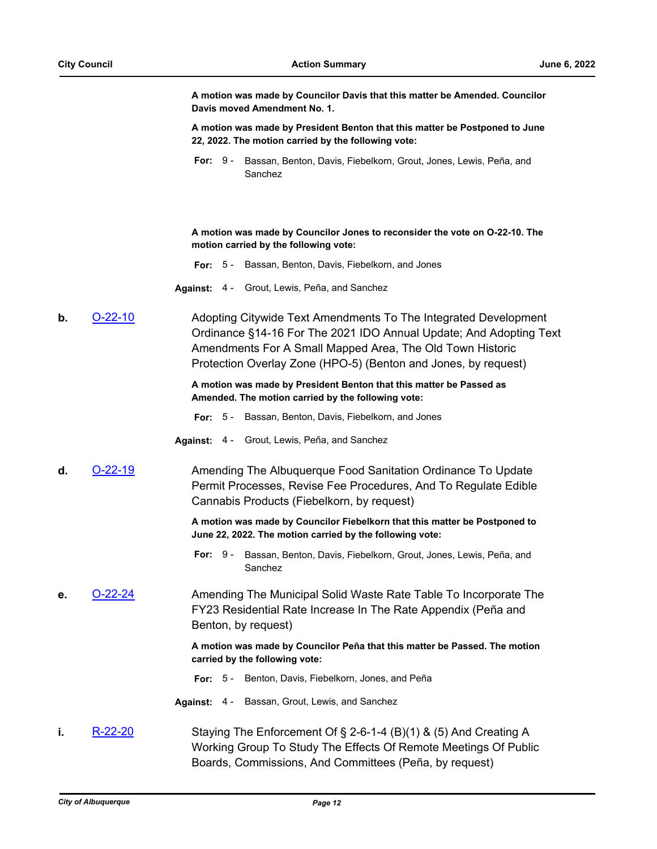**A motion was made by Councilor Davis that this matter be Amended. Councilor Davis moved Amendment No. 1.**

**A motion was made by President Benton that this matter be Postponed to June 22, 2022. The motion carried by the following vote:**

**For:** Bassan, Benton, Davis, Fiebelkorn, Grout, Jones, Lewis, Peña, and Sanchez For:  $9 -$ 

**A motion was made by Councilor Jones to reconsider the vote on O-22-10. The motion carried by the following vote:**

- **For:** 5 Bassan, Benton, Davis, Fiebelkorn, and Jones
- **Against:** 4 Grout, Lewis, Peña, and Sanchez

**b. [O-22-10](http://cabq.legistar.com/gateway.aspx?m=l&id=/matter.aspx?key=12818)** Adopting Citywide Text Amendments To The Integrated Development Ordinance §14-16 For The 2021 IDO Annual Update; And Adopting Text Amendments For A Small Mapped Area, The Old Town Historic Protection Overlay Zone (HPO-5) (Benton and Jones, by request)

#### **A motion was made by President Benton that this matter be Passed as Amended. The motion carried by the following vote:**

- **For:** 5 Bassan, Benton, Davis, Fiebelkorn, and Jones
- **Against:** 4 Grout, Lewis, Peña, and Sanchez
- **d.** [O-22-19](http://cabq.legistar.com/gateway.aspx?m=l&id=/matter.aspx?key=12882) Amending The Albuquerque Food Sanitation Ordinance To Update Permit Processes, Revise Fee Procedures, And To Regulate Edible Cannabis Products (Fiebelkorn, by request)

**A motion was made by Councilor Fiebelkorn that this matter be Postponed to June 22, 2022. The motion carried by the following vote:**

- For: 9 Bassan, Benton, Davis, Fiebelkorn, Grout, Jones, Lewis, Peña, and Sanchez
- **e.** [O-22-24](http://cabq.legistar.com/gateway.aspx?m=l&id=/matter.aspx?key=12920) Amending The Municipal Solid Waste Rate Table To Incorporate The FY23 Residential Rate Increase In The Rate Appendix (Peña and Benton, by request)

**A motion was made by Councilor Peña that this matter be Passed. The motion carried by the following vote:**

- **For:** 5 Benton, Davis, Fiebelkorn, Jones, and Peña
- **Against:** 4 Bassan, Grout, Lewis, and Sanchez
- **i.** [R-22-20](http://cabq.legistar.com/gateway.aspx?m=l&id=/matter.aspx?key=12874) Staying The Enforcement Of § 2-6-1-4 (B)(1) & (5) And Creating A Working Group To Study The Effects Of Remote Meetings Of Public Boards, Commissions, And Committees (Peña, by request)